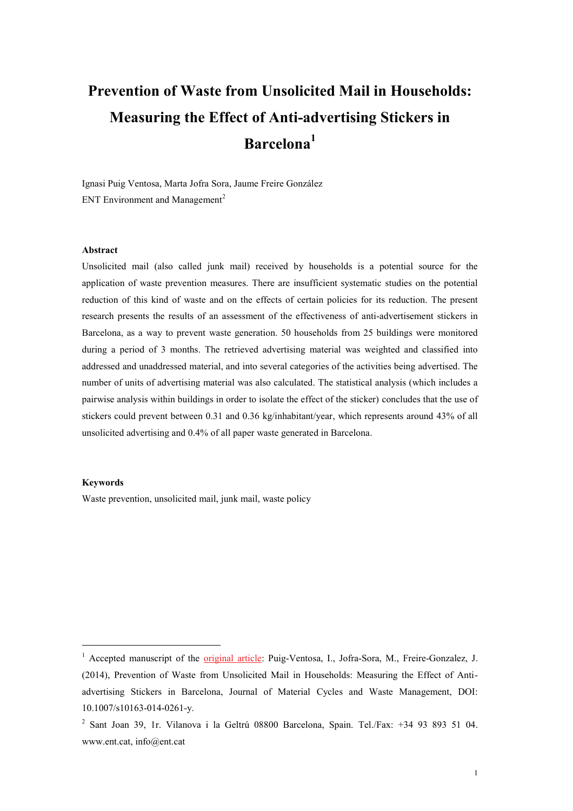# **Prevention of Waste from Unsolicited Mail in Households: Measuring the Effect of Anti-advertising Stickers in Barcelona<sup>1</sup>**

Ignasi Puig Ventosa, Marta Jofra Sora, Jaume Freire González ENT Environment and Management<sup>2</sup>

## **Abstract**

Unsolicited mail (also called junk mail) received by households is a potential source for the application of waste prevention measures. There are insufficient systematic studies on the potential reduction of this kind of waste and on the effects of certain policies for its reduction. The present research presents the results of an assessment of the effectiveness of anti-advertisement stickers in Barcelona, as a way to prevent waste generation. 50 households from 25 buildings were monitored during a period of 3 months. The retrieved advertising material was weighted and classified into addressed and unaddressed material, and into several categories of the activities being advertised. The number of units of advertising material was also calculated. The statistical analysis (which includes a pairwise analysis within buildings in order to isolate the effect of the sticker) concludes that the use of stickers could prevent between 0.31 and 0.36 kg/inhabitant/year, which represents around 43% of all unsolicited advertising and 0.4% of all paper waste generated in Barcelona.

## **Keywords**

<u>.</u>

Waste prevention, unsolicited mail, junk mail, waste policy

<sup>&</sup>lt;sup>1</sup> Accepted manuscript of the *original article*: Puig-Ventosa, I., Jofra-Sora, M., Freire-Gonzalez, J. (2014), Prevention of Waste from Unsolicited Mail in Households: Measuring the Effect of Antiadvertising Stickers in Barcelona, Journal of Material Cycles and Waste Management, DOI: 10.1007/s10163-014-0261-y.

<sup>2</sup> Sant Joan 39, 1r. Vilanova i la Geltrú 08800 Barcelona, Spain. Tel./Fax: +34 93 893 51 04. www.ent.cat, info@ent.cat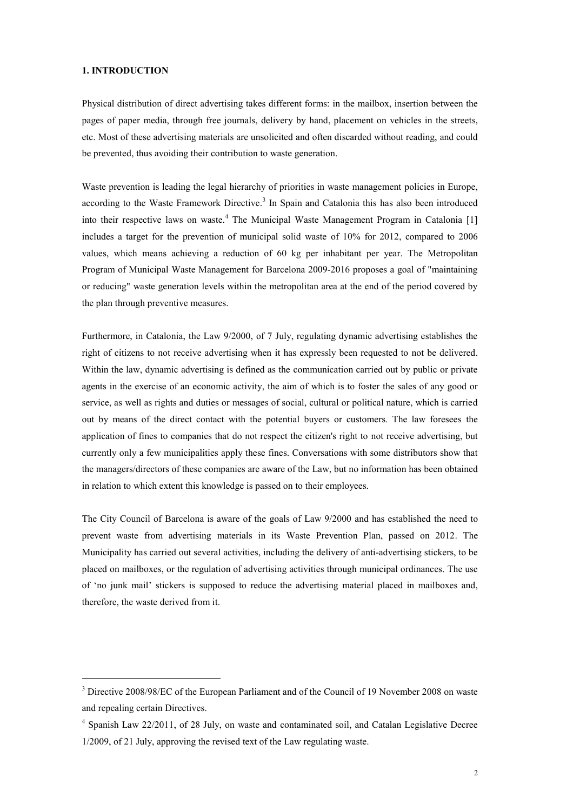# **1. INTRODUCTION**

<u>.</u>

Physical distribution of direct advertising takes different forms: in the mailbox, insertion between the pages of paper media, through free journals, delivery by hand, placement on vehicles in the streets, etc. Most of these advertising materials are unsolicited and often discarded without reading, and could be prevented, thus avoiding their contribution to waste generation.

Waste prevention is leading the legal hierarchy of priorities in waste management policies in Europe, according to the Waste Framework Directive.<sup>3</sup> In Spain and Catalonia this has also been introduced into their respective laws on waste.<sup>4</sup> The Municipal Waste Management Program in Catalonia [1] includes a target for the prevention of municipal solid waste of 10% for 2012, compared to 2006 values, which means achieving a reduction of 60 kg per inhabitant per year. The Metropolitan Program of Municipal Waste Management for Barcelona 2009-2016 proposes a goal of "maintaining or reducing" waste generation levels within the metropolitan area at the end of the period covered by the plan through preventive measures.

Furthermore, in Catalonia, the Law 9/2000, of 7 July, regulating dynamic advertising establishes the right of citizens to not receive advertising when it has expressly been requested to not be delivered. Within the law, dynamic advertising is defined as the communication carried out by public or private agents in the exercise of an economic activity, the aim of which is to foster the sales of any good or service, as well as rights and duties or messages of social, cultural or political nature, which is carried out by means of the direct contact with the potential buyers or customers. The law foresees the application of fines to companies that do not respect the citizen's right to not receive advertising, but currently only a few municipalities apply these fines. Conversations with some distributors show that the managers/directors of these companies are aware of the Law, but no information has been obtained in relation to which extent this knowledge is passed on to their employees.

The City Council of Barcelona is aware of the goals of Law 9/2000 and has established the need to prevent waste from advertising materials in its Waste Prevention Plan, passed on 2012. The Municipality has carried out several activities, including the delivery of anti-advertising stickers, to be placed on mailboxes, or the regulation of advertising activities through municipal ordinances. The use of 'no junk mail' stickers is supposed to reduce the advertising material placed in mailboxes and, therefore, the waste derived from it.

<sup>3</sup> Directive 2008/98/EC of the European Parliament and of the Council of 19 November 2008 on waste and repealing certain Directives.

<sup>&</sup>lt;sup>4</sup> Spanish Law 22/2011, of 28 July, on waste and contaminated soil, and Catalan Legislative Decree 1/2009, of 21 July, approving the revised text of the Law regulating waste.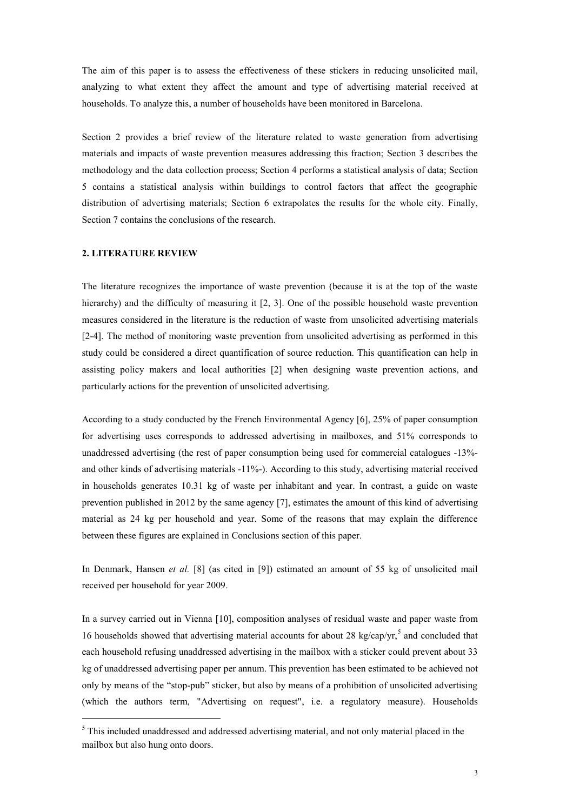The aim of this paper is to assess the effectiveness of these stickers in reducing unsolicited mail, analyzing to what extent they affect the amount and type of advertising material received at households. To analyze this, a number of households have been monitored in Barcelona.

Section 2 provides a brief review of the literature related to waste generation from advertising materials and impacts of waste prevention measures addressing this fraction; Section 3 describes the methodology and the data collection process; Section 4 performs a statistical analysis of data; Section 5 contains a statistical analysis within buildings to control factors that affect the geographic distribution of advertising materials; Section 6 extrapolates the results for the whole city. Finally, Section 7 contains the conclusions of the research.

# **2. LITERATURE REVIEW**

1

The literature recognizes the importance of waste prevention (because it is at the top of the waste hierarchy) and the difficulty of measuring it [2, 3]. One of the possible household waste prevention measures considered in the literature is the reduction of waste from unsolicited advertising materials [2-4]. The method of monitoring waste prevention from unsolicited advertising as performed in this study could be considered a direct quantification of source reduction. This quantification can help in assisting policy makers and local authorities [2] when designing waste prevention actions, and particularly actions for the prevention of unsolicited advertising.

According to a study conducted by the French Environmental Agency [6], 25% of paper consumption for advertising uses corresponds to addressed advertising in mailboxes, and 51% corresponds to unaddressed advertising (the rest of paper consumption being used for commercial catalogues -13% and other kinds of advertising materials -11%-). According to this study, advertising material received in households generates 10.31 kg of waste per inhabitant and year. In contrast, a guide on waste prevention published in 2012 by the same agency [7], estimates the amount of this kind of advertising material as 24 kg per household and year. Some of the reasons that may explain the difference between these figures are explained in Conclusions section of this paper.

In Denmark, Hansen *et al.* [8] (as cited in [9]) estimated an amount of 55 kg of unsolicited mail received per household for year 2009.

In a survey carried out in Vienna [10], composition analyses of residual waste and paper waste from 16 households showed that advertising material accounts for about 28 kg/cap/yr,<sup>5</sup> and concluded that each household refusing unaddressed advertising in the mailbox with a sticker could prevent about 33 kg of unaddressed advertising paper per annum. This prevention has been estimated to be achieved not only by means of the "stop-pub" sticker, but also by means of a prohibition of unsolicited advertising (which the authors term, "Advertising on request", i.e. a regulatory measure). Households

<sup>&</sup>lt;sup>5</sup> This included unaddressed and addressed advertising material, and not only material placed in the mailbox but also hung onto doors.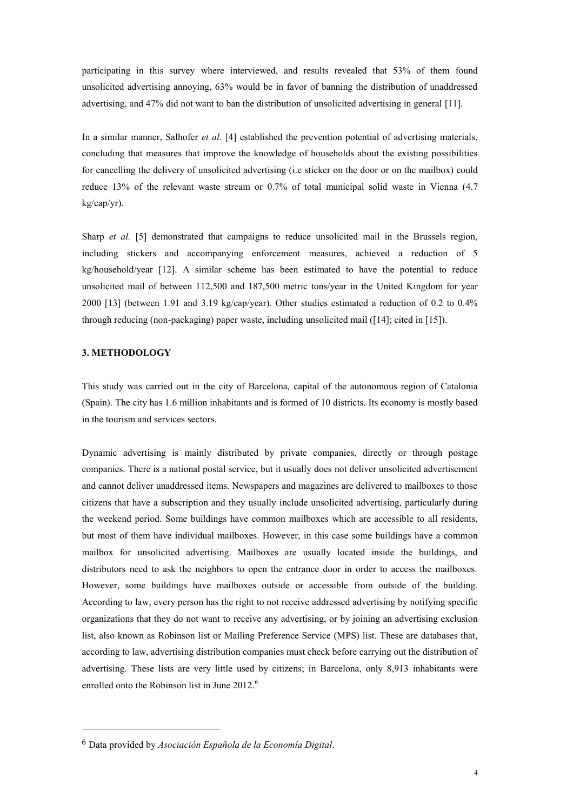participating in this survey where interviewed, and results revealed that 53% of them found unsolicited advertising annoying, 63% would be in favor of banning the distribution of unaddressed advertising, and 47% did not want to ban the distribution of unsolicited advertising in general [11].

In a similar manner, Salhofer *et al.* [4] established the prevention potential of advertising materials, concluding that measures that improve the knowledge of households about the existing possibilities for cancelling the delivery of unsolicited advertising (i.e sticker on the door or on the mailbox) could reduce 13% of the relevant waste stream or 0.7% of total municipal solid waste in Vienna (4.7 kg/cap/yr).

Sharp *et al.* [5] demonstrated that campaigns to reduce unsolicited mail in the Brussels region, including stickers and accompanying enforcement measures, achieved a reduction of 5 kg/household/year [12]. A similar scheme has been estimated to have the potential to reduce unsolicited mail of between 112,500 and 187,500 metric tons/year in the United Kingdom for year 2000 [13] (between 1.91 and 3.19 kg/cap/year). Other studies estimated a reduction of 0.2 to 0.4% through reducing (non-packaging) paper waste, including unsolicited mail ([14]; cited in [15]).

## **3. METHODOLOGY**

1

This study was carried out in the city of Barcelona, capital of the autonomous region of Catalonia (Spain). The city has 1.6 million inhabitants and is formed of 10 districts. Its economy is mostly based in the tourism and services sectors.

Dynamic advertising is mainly distributed by private companies, directly or through postage companies. There is a national postal service, but it usually does not deliver unsolicited advertisement and cannot deliver unaddressed items. Newspapers and magazines are delivered to mailboxes to those citizens that have a subscription and they usually include unsolicited advertising, particularly during the weekend period. Some buildings have common mailboxes which are accessible to all residents, but most of them have individual mailboxes. However, in this case some buildings have a common mailbox for unsolicited advertising. Mailboxes are usually located inside the buildings, and distributors need to ask the neighbors to open the entrance door in order to access the mailboxes. However, some buildings have mailboxes outside or accessible from outside of the building. According to law, every person has the right to not receive addressed advertising by notifying specific organizations that they do not want to receive any advertising, or by joining an advertising exclusion list, also known as Robinson list or Mailing Preference Service (MPS) list. These are databases that, according to law, advertising distribution companies must check before carrying out the distribution of advertising. These lists are very little used by citizens; in Barcelona, only 8,913 inhabitants were enrolled onto the Robinson list in June 2012.<sup>6</sup>

<sup>6</sup> Data provided by *Asociación Española de la Economía Digital*.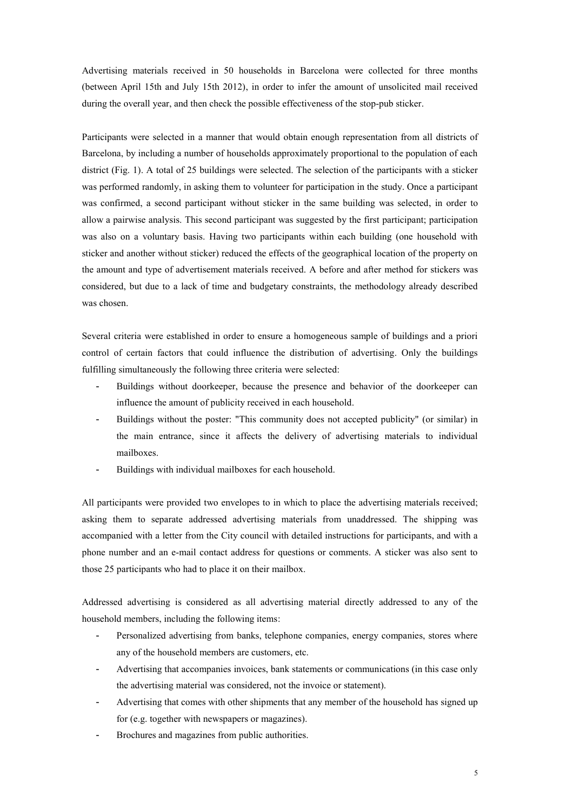Advertising materials received in 50 households in Barcelona were collected for three months (between April 15th and July 15th 2012), in order to infer the amount of unsolicited mail received during the overall year, and then check the possible effectiveness of the stop-pub sticker.

Participants were selected in a manner that would obtain enough representation from all districts of Barcelona, by including a number of households approximately proportional to the population of each district (Fig. 1). A total of 25 buildings were selected. The selection of the participants with a sticker was performed randomly, in asking them to volunteer for participation in the study. Once a participant was confirmed, a second participant without sticker in the same building was selected, in order to allow a pairwise analysis. This second participant was suggested by the first participant; participation was also on a voluntary basis. Having two participants within each building (one household with sticker and another without sticker) reduced the effects of the geographical location of the property on the amount and type of advertisement materials received. A before and after method for stickers was considered, but due to a lack of time and budgetary constraints, the methodology already described was chosen.

Several criteria were established in order to ensure a homogeneous sample of buildings and a priori control of certain factors that could influence the distribution of advertising. Only the buildings fulfilling simultaneously the following three criteria were selected:

- Buildings without doorkeeper, because the presence and behavior of the doorkeeper can influence the amount of publicity received in each household.
- Buildings without the poster: "This community does not accepted publicity" (or similar) in the main entrance, since it affects the delivery of advertising materials to individual mailboxes.
- Buildings with individual mailboxes for each household.

All participants were provided two envelopes to in which to place the advertising materials received; asking them to separate addressed advertising materials from unaddressed. The shipping was accompanied with a letter from the City council with detailed instructions for participants, and with a phone number and an e-mail contact address for questions or comments. A sticker was also sent to those 25 participants who had to place it on their mailbox.

Addressed advertising is considered as all advertising material directly addressed to any of the household members, including the following items:

- Personalized advertising from banks, telephone companies, energy companies, stores where any of the household members are customers, etc.
- Advertising that accompanies invoices, bank statements or communications (in this case only the advertising material was considered, not the invoice or statement).
- Advertising that comes with other shipments that any member of the household has signed up for (e.g. together with newspapers or magazines).
- Brochures and magazines from public authorities.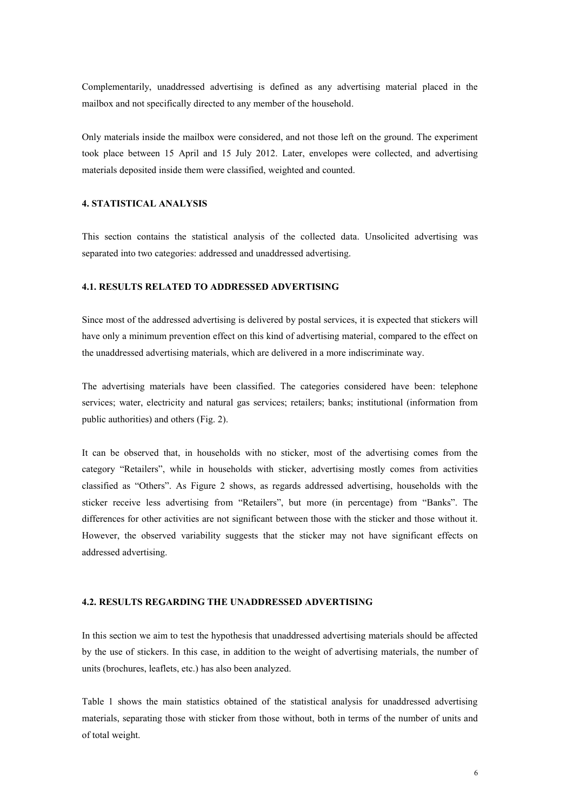Complementarily, unaddressed advertising is defined as any advertising material placed in the mailbox and not specifically directed to any member of the household.

Only materials inside the mailbox were considered, and not those left on the ground. The experiment took place between 15 April and 15 July 2012. Later, envelopes were collected, and advertising materials deposited inside them were classified, weighted and counted.

## **4. STATISTICAL ANALYSIS**

This section contains the statistical analysis of the collected data. Unsolicited advertising was separated into two categories: addressed and unaddressed advertising.

#### **4.1. RESULTS RELATED TO ADDRESSED ADVERTISING**

Since most of the addressed advertising is delivered by postal services, it is expected that stickers will have only a minimum prevention effect on this kind of advertising material, compared to the effect on the unaddressed advertising materials, which are delivered in a more indiscriminate way.

The advertising materials have been classified. The categories considered have been: telephone services; water, electricity and natural gas services; retailers; banks; institutional (information from public authorities) and others (Fig. 2).

It can be observed that, in households with no sticker, most of the advertising comes from the category "Retailers", while in households with sticker, advertising mostly comes from activities classified as "Others". As Figure 2 shows, as regards addressed advertising, households with the sticker receive less advertising from "Retailers", but more (in percentage) from "Banks". The differences for other activities are not significant between those with the sticker and those without it. However, the observed variability suggests that the sticker may not have significant effects on addressed advertising.

### **4.2. RESULTS REGARDING THE UNADDRESSED ADVERTISING**

In this section we aim to test the hypothesis that unaddressed advertising materials should be affected by the use of stickers. In this case, in addition to the weight of advertising materials, the number of units (brochures, leaflets, etc.) has also been analyzed.

Table 1 shows the main statistics obtained of the statistical analysis for unaddressed advertising materials, separating those with sticker from those without, both in terms of the number of units and of total weight.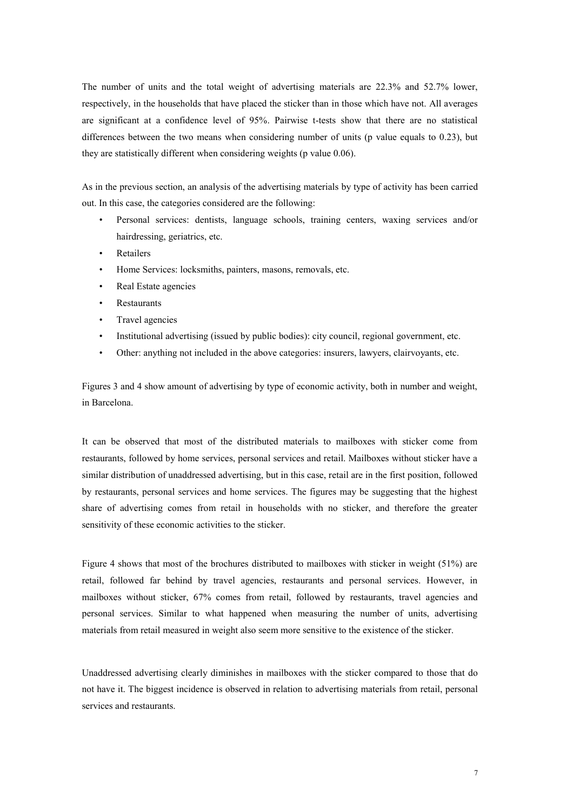The number of units and the total weight of advertising materials are 22.3% and 52.7% lower, respectively, in the households that have placed the sticker than in those which have not. All averages are significant at a confidence level of 95%. Pairwise t-tests show that there are no statistical differences between the two means when considering number of units (p value equals to 0.23), but they are statistically different when considering weights (p value 0.06).

As in the previous section, an analysis of the advertising materials by type of activity has been carried out. In this case, the categories considered are the following:

- Personal services: dentists, language schools, training centers, waxing services and/or hairdressing, geriatrics, etc.
- Retailers
- Home Services: locksmiths, painters, masons, removals, etc.
- Real Estate agencies
- **Restaurants**
- Travel agencies
- Institutional advertising (issued by public bodies): city council, regional government, etc.
- Other: anything not included in the above categories: insurers, lawyers, clairvoyants, etc.

Figures 3 and 4 show amount of advertising by type of economic activity, both in number and weight, in Barcelona.

It can be observed that most of the distributed materials to mailboxes with sticker come from restaurants, followed by home services, personal services and retail. Mailboxes without sticker have a similar distribution of unaddressed advertising, but in this case, retail are in the first position, followed by restaurants, personal services and home services. The figures may be suggesting that the highest share of advertising comes from retail in households with no sticker, and therefore the greater sensitivity of these economic activities to the sticker.

Figure 4 shows that most of the brochures distributed to mailboxes with sticker in weight (51%) are retail, followed far behind by travel agencies, restaurants and personal services. However, in mailboxes without sticker, 67% comes from retail, followed by restaurants, travel agencies and personal services. Similar to what happened when measuring the number of units, advertising materials from retail measured in weight also seem more sensitive to the existence of the sticker.

Unaddressed advertising clearly diminishes in mailboxes with the sticker compared to those that do not have it. The biggest incidence is observed in relation to advertising materials from retail, personal services and restaurants.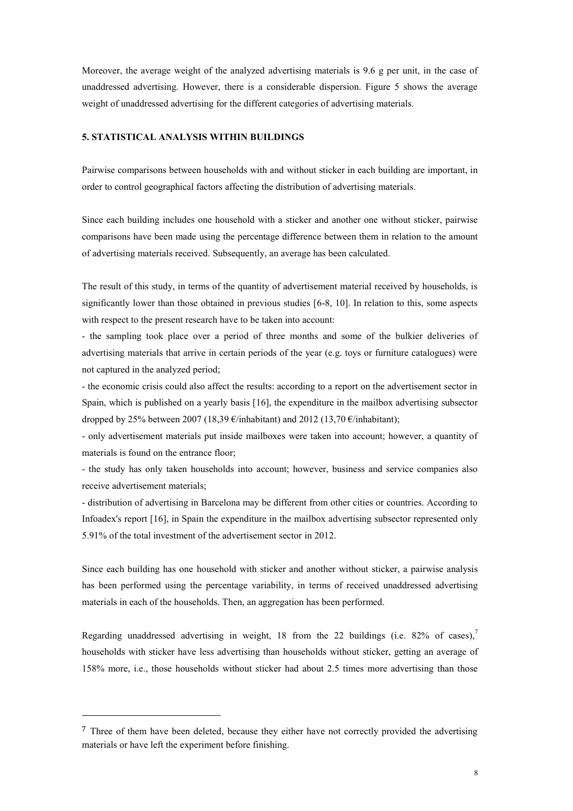Moreover, the average weight of the analyzed advertising materials is 9.6 g per unit, in the case of unaddressed advertising. However, there is a considerable dispersion. Figure 5 shows the average weight of unaddressed advertising for the different categories of advertising materials.

# **5. STATISTICAL ANALYSIS WITHIN BUILDINGS**

Pairwise comparisons between households with and without sticker in each building are important, in order to control geographical factors affecting the distribution of advertising materials.

Since each building includes one household with a sticker and another one without sticker, pairwise comparisons have been made using the percentage difference between them in relation to the amount of advertising materials received. Subsequently, an average has been calculated.

The result of this study, in terms of the quantity of advertisement material received by households, is significantly lower than those obtained in previous studies [6-8, 10]. In relation to this, some aspects with respect to the present research have to be taken into account:

- the sampling took place over a period of three months and some of the bulkier deliveries of advertising materials that arrive in certain periods of the year (e.g. toys or furniture catalogues) were not captured in the analyzed period;

- the economic crisis could also affect the results: according to a report on the advertisement sector in Spain, which is published on a yearly basis [16], the expenditure in the mailbox advertising subsector dropped by 25% between 2007 (18,39  $\epsilon$ /inhabitant) and 2012 (13,70  $\epsilon$ /inhabitant);

- only advertisement materials put inside mailboxes were taken into account; however, a quantity of materials is found on the entrance floor;

- the study has only taken households into account; however, business and service companies also receive advertisement materials;

- distribution of advertising in Barcelona may be different from other cities or countries. According to Infoadex's report [16], in Spain the expenditure in the mailbox advertising subsector represented only 5.91% of the total investment of the advertisement sector in 2012.

Since each building has one household with sticker and another without sticker, a pairwise analysis has been performed using the percentage variability, in terms of received unaddressed advertising materials in each of the households. Then, an aggregation has been performed.

Regarding unaddressed advertising in weight, 18 from the 22 buildings (i.e. 82% of cases),<sup>7</sup> households with sticker have less advertising than households without sticker, getting an average of 158% more, i.e., those households without sticker had about 2.5 times more advertising than those

1

<sup>&</sup>lt;sup>7</sup> Three of them have been deleted, because they either have not correctly provided the advertising materials or have left the experiment before finishing.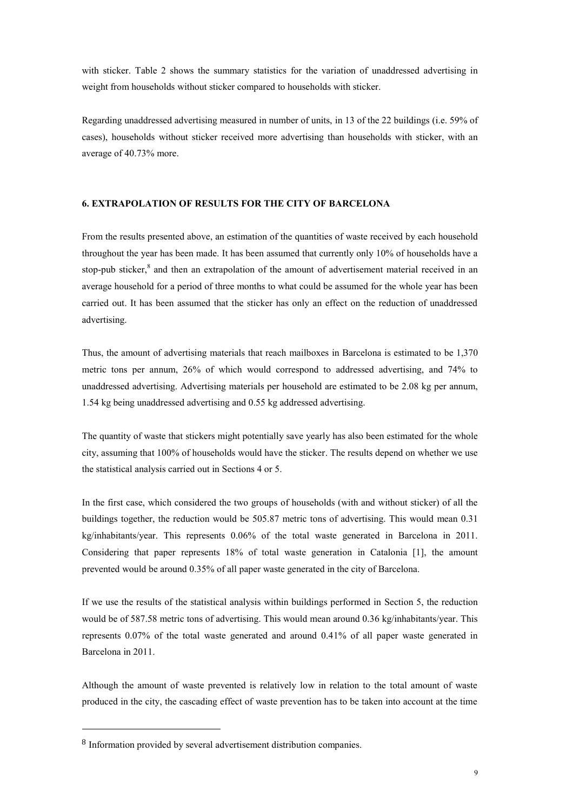with sticker. Table 2 shows the summary statistics for the variation of unaddressed advertising in weight from households without sticker compared to households with sticker.

Regarding unaddressed advertising measured in number of units, in 13 of the 22 buildings (i.e. 59% of cases), households without sticker received more advertising than households with sticker, with an average of 40.73% more.

# **6. EXTRAPOLATION OF RESULTS FOR THE CITY OF BARCELONA**

From the results presented above, an estimation of the quantities of waste received by each household throughout the year has been made. It has been assumed that currently only 10% of households have a stop-pub sticker,<sup>8</sup> and then an extrapolation of the amount of advertisement material received in an average household for a period of three months to what could be assumed for the whole year has been carried out. It has been assumed that the sticker has only an effect on the reduction of unaddressed advertising.

Thus, the amount of advertising materials that reach mailboxes in Barcelona is estimated to be 1,370 metric tons per annum, 26% of which would correspond to addressed advertising, and 74% to unaddressed advertising. Advertising materials per household are estimated to be 2.08 kg per annum, 1.54 kg being unaddressed advertising and 0.55 kg addressed advertising.

The quantity of waste that stickers might potentially save yearly has also been estimated for the whole city, assuming that 100% of households would have the sticker. The results depend on whether we use the statistical analysis carried out in Sections 4 or 5.

In the first case, which considered the two groups of households (with and without sticker) of all the buildings together, the reduction would be 505.87 metric tons of advertising. This would mean 0.31 kg/inhabitants/year. This represents 0.06% of the total waste generated in Barcelona in 2011. Considering that paper represents 18% of total waste generation in Catalonia [1], the amount prevented would be around 0.35% of all paper waste generated in the city of Barcelona.

If we use the results of the statistical analysis within buildings performed in Section 5, the reduction would be of 587.58 metric tons of advertising. This would mean around 0.36 kg/inhabitants/year. This represents 0.07% of the total waste generated and around 0.41% of all paper waste generated in Barcelona in 2011.

Although the amount of waste prevented is relatively low in relation to the total amount of waste produced in the city, the cascading effect of waste prevention has to be taken into account at the time

1

<sup>8</sup> Information provided by several advertisement distribution companies.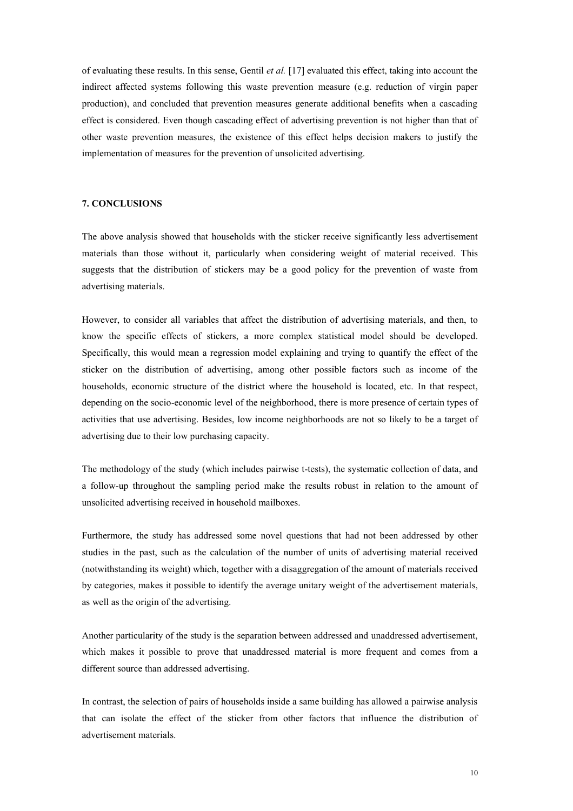of evaluating these results. In this sense, Gentil *et al.* [17] evaluated this effect, taking into account the indirect affected systems following this waste prevention measure (e.g. reduction of virgin paper production), and concluded that prevention measures generate additional benefits when a cascading effect is considered. Even though cascading effect of advertising prevention is not higher than that of other waste prevention measures, the existence of this effect helps decision makers to justify the implementation of measures for the prevention of unsolicited advertising.

#### **7. CONCLUSIONS**

The above analysis showed that households with the sticker receive significantly less advertisement materials than those without it, particularly when considering weight of material received. This suggests that the distribution of stickers may be a good policy for the prevention of waste from advertising materials.

However, to consider all variables that affect the distribution of advertising materials, and then, to know the specific effects of stickers, a more complex statistical model should be developed. Specifically, this would mean a regression model explaining and trying to quantify the effect of the sticker on the distribution of advertising, among other possible factors such as income of the households, economic structure of the district where the household is located, etc. In that respect, depending on the socio-economic level of the neighborhood, there is more presence of certain types of activities that use advertising. Besides, low income neighborhoods are not so likely to be a target of advertising due to their low purchasing capacity.

The methodology of the study (which includes pairwise t-tests), the systematic collection of data, and a follow-up throughout the sampling period make the results robust in relation to the amount of unsolicited advertising received in household mailboxes.

Furthermore, the study has addressed some novel questions that had not been addressed by other studies in the past, such as the calculation of the number of units of advertising material received (notwithstanding its weight) which, together with a disaggregation of the amount of materials received by categories, makes it possible to identify the average unitary weight of the advertisement materials, as well as the origin of the advertising.

Another particularity of the study is the separation between addressed and unaddressed advertisement, which makes it possible to prove that unaddressed material is more frequent and comes from a different source than addressed advertising.

In contrast, the selection of pairs of households inside a same building has allowed a pairwise analysis that can isolate the effect of the sticker from other factors that influence the distribution of advertisement materials.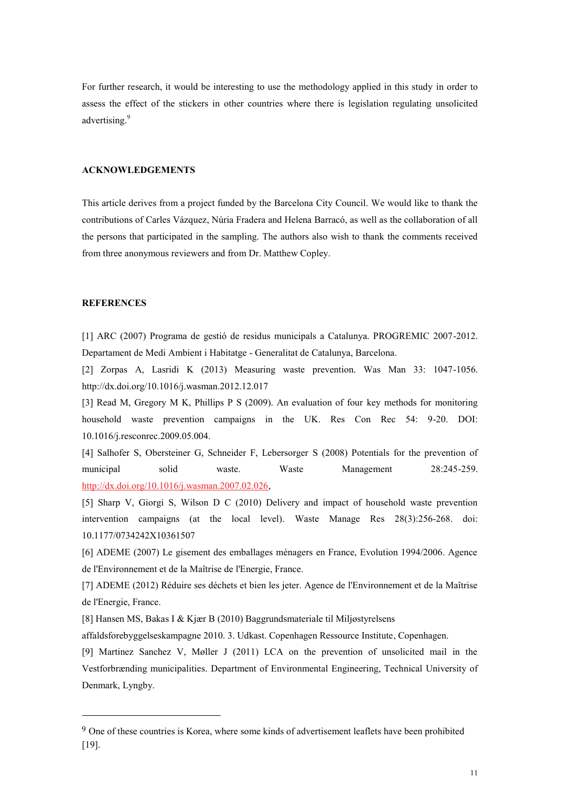For further research, it would be interesting to use the methodology applied in this study in order to assess the effect of the stickers in other countries where there is legislation regulating unsolicited advertising.<sup>9</sup>

#### **ACKNOWLEDGEMENTS**

This article derives from a project funded by the Barcelona City Council. We would like to thank the contributions of Carles Vázquez, Núria Fradera and Helena Barracó, as well as the collaboration of all the persons that participated in the sampling. The authors also wish to thank the comments received from three anonymous reviewers and from Dr. Matthew Copley.

## **REFERENCES**

1

[1] ARC (2007) Programa de gestió de residus municipals a Catalunya. PROGREMIC 2007-2012. Departament de Medi Ambient i Habitatge - Generalitat de Catalunya, Barcelona.

[2] Zorpas A, Lasridi K (2013) Measuring waste prevention. Was Man 33: 1047-1056. http://dx.doi.org/10.1016/j.wasman.2012.12.017

[3] Read M, Gregory M K, Phillips P S (2009). An evaluation of four key methods for monitoring household waste prevention campaigns in the UK. Res Con Rec 54: 9-20. DOI: 10.1016/j.resconrec.2009.05.004.

[4] Salhofer S, Obersteiner G, Schneider F, Lebersorger S (2008) Potentials for the prevention of municipal solid waste. Waste Management 28:245-259. [http://dx.doi.org/10.1016/j.wasman.2007.02.026,](http://dx.doi.org/10.1016/j.wasman.2007.02.026)

[5] Sharp V, Giorgi S, Wilson D C (2010) Delivery and impact of household waste prevention intervention campaigns (at the local level). Waste Manage Res 28(3):256-268. doi: 10.1177/0734242X10361507

[6] ADEME (2007) Le gisement des emballages ménagers en France, Evolution 1994/2006. Agence de l'Environnement et de la Maîtrise de l'Energie, France.

[7] ADEME (2012) Réduire ses déchets et bien les jeter. Agence de l'Environnement et de la Maîtrise de l'Energie, France.

[8] Hansen MS, Bakas I & Kjær B (2010) Baggrundsmateriale til Miljøstyrelsens

affaldsforebyggelseskampagne 2010. 3. Udkast. Copenhagen Ressource Institute, Copenhagen.

[9] Martinez Sanchez V, Møller J (2011) LCA on the prevention of unsolicited mail in the Vestforbrænding municipalities. Department of Environmental Engineering, Technical University of Denmark, Lyngby.

<sup>9</sup> One of these countries is Korea, where some kinds of advertisement leaflets have been prohibited [19].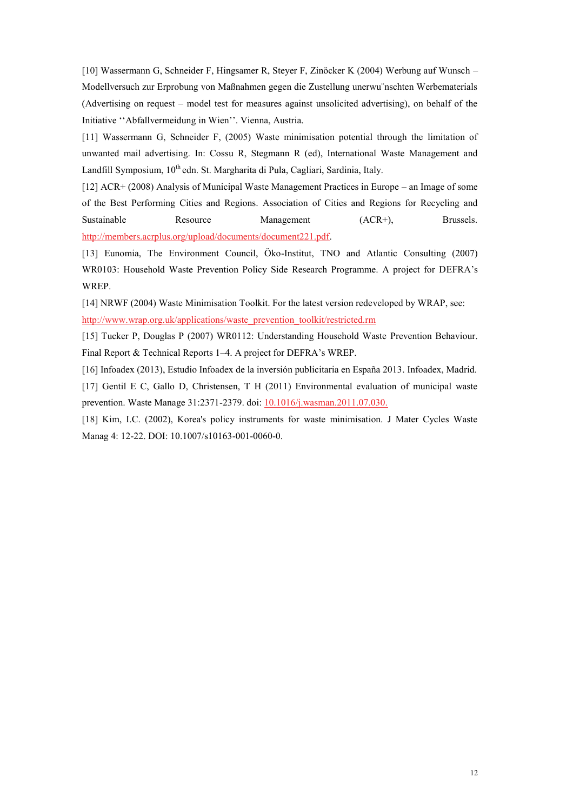[10] Wassermann G, Schneider F, Hingsamer R, Steyer F, Zinöcker K (2004) Werbung auf Wunsch – Modellversuch zur Erprobung von Maßnahmen gegen die Zustellung unerwu¨nschten Werbematerials (Advertising on request – model test for measures against unsolicited advertising), on behalf of the Initiative ''Abfallvermeidung in Wien''. Vienna, Austria.

[11] Wassermann G, Schneider F, (2005) Waste minimisation potential through the limitation of unwanted mail advertising. In: Cossu R, Stegmann R (ed), International Waste Management and Landfill Symposium, 10<sup>th</sup> edn. St. Margharita di Pula, Cagliari, Sardinia, Italy.

[12] ACR+ (2008) Analysis of Municipal Waste Management Practices in Europe – an Image of some of the Best Performing Cities and Regions. Association of Cities and Regions for Recycling and Sustainable Resource Management (ACR+), Brussels. [http://members.acrplus.org/upload/documents/document221.pdf.](http://members.acrplus.org/upload/documents/document221.pdf)

[13] Eunomia, The Environment Council, Öko-Institut, TNO and Atlantic Consulting (2007) WR0103: Household Waste Prevention Policy Side Research Programme. A project for DEFRA's WREP.

[14] NRWF (2004) Waste Minimisation Toolkit. For the latest version redeveloped by WRAP, see: [http://www.wrap.org.uk/applications/waste\\_prevention\\_toolkit/restricted.rm](http://www.wrap.org.uk/applications/waste_prevention_toolkit/restricted.rm)

[15] Tucker P, Douglas P (2007) WR0112: Understanding Household Waste Prevention Behaviour. Final Report & Technical Reports 1–4. A project for DEFRA's WREP.

[16] Infoadex (2013), Estudio Infoadex de la inversión publicitaria en España 2013. Infoadex, Madrid.

[17] Gentil E C, Gallo D, Christensen, T H (2011) Environmental evaluation of municipal waste prevention. Waste Manage 31:2371-2379. doi: [10.1016/j.wasman.2011.07.030.](http://dx.doi.org/10.1016/j.wasman.2011.07.030) 

[18] Kim, I.C. (2002), Korea's policy instruments for waste minimisation. J Mater Cycles Waste Manag 4: 12-22. DOI: 10.1007/s10163-001-0060-0.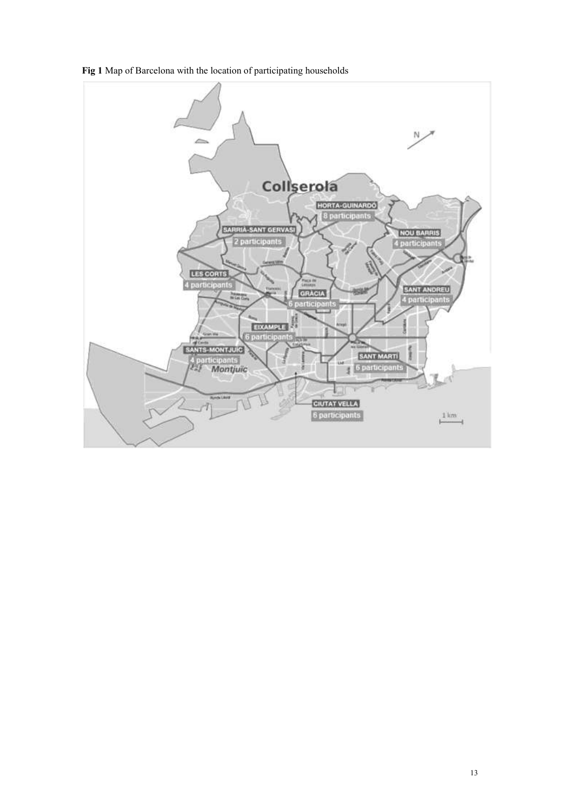

**Fig 1** Map of Barcelona with the location of participating households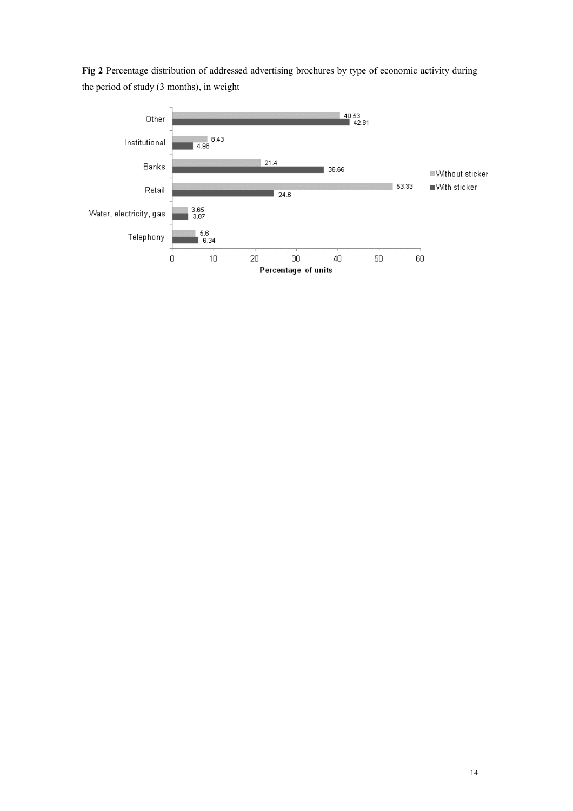**Fig 2** Percentage distribution of addressed advertising brochures by type of economic activity during the period of study (3 months), in weight

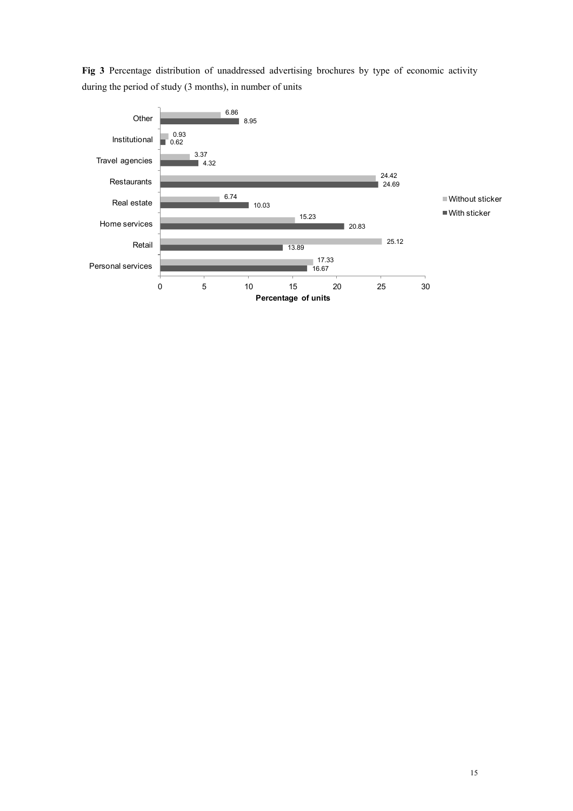**Fig 3** Percentage distribution of unaddressed advertising brochures by type of economic activity during the period of study (3 months), in number of units

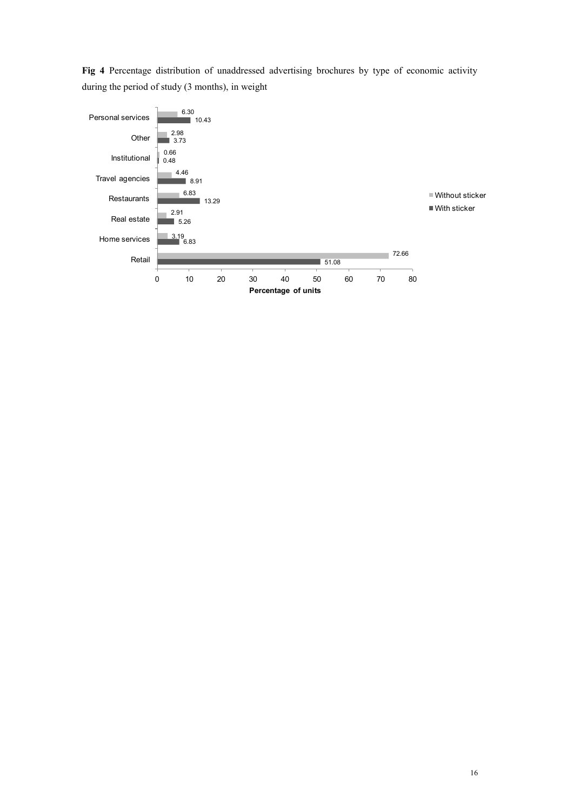**Fig 4** Percentage distribution of unaddressed advertising brochures by type of economic activity during the period of study (3 months), in weight

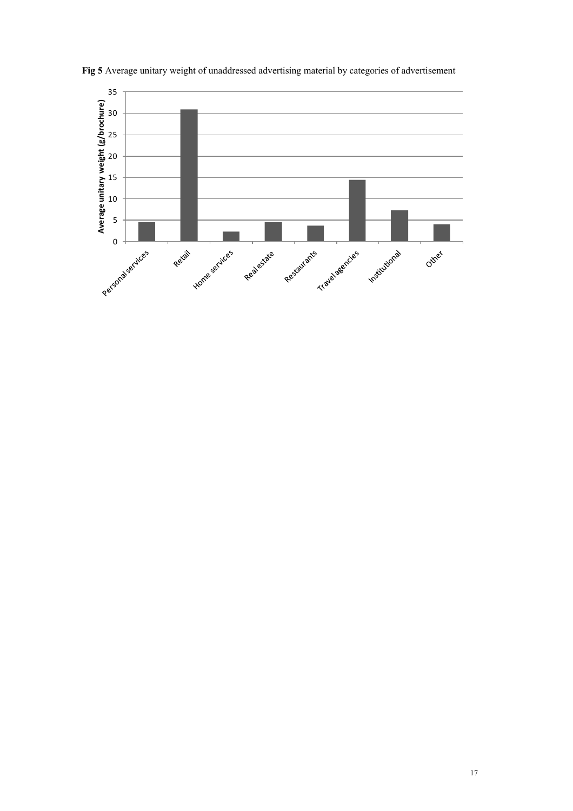

**Fig 5** Average unitary weight of unaddressed advertising material by categories of advertisement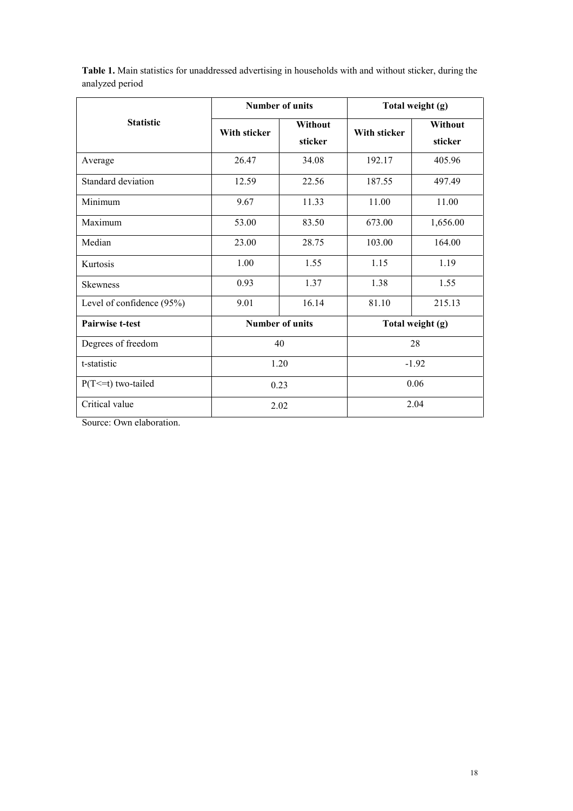|                           | <b>Number of units</b> |                    | Total weight (g) |                    |
|---------------------------|------------------------|--------------------|------------------|--------------------|
| <b>Statistic</b>          | <b>With sticker</b>    | Without<br>sticker | With sticker     | Without<br>sticker |
| Average                   | 26.47                  | 34.08              | 192.17           | 405.96             |
| Standard deviation        | 12.59                  | 22.56              | 187.55           | 497.49             |
| Minimum                   | 9.67                   | 11.33              | 11.00            | 11.00              |
| Maximum                   | 53.00                  | 83.50              | 673.00           | 1,656.00           |
| Median                    | 23.00                  | 28.75              | 103.00           | 164.00             |
| Kurtosis                  | 1.00                   | 1.55               | 1.15             | 1.19               |
| <b>Skewness</b>           | 0.93                   | 1.37               | 1.38             | 1.55               |
| Level of confidence (95%) | 9.01                   | 16.14              | 81.10            | 215.13             |
| <b>Pairwise t-test</b>    | <b>Number of units</b> |                    | Total weight (g) |                    |
| Degrees of freedom        | 40                     |                    | 28               |                    |
| t-statistic               | 1.20                   |                    | $-1.92$          |                    |
| $P(T \le t)$ two-tailed   | 0.23                   |                    | 0.06             |                    |
| Critical value            | 2.02                   |                    | 2.04             |                    |

**Table 1.** Main statistics for unaddressed advertising in households with and without sticker, during the analyzed period

Source: Own elaboration.